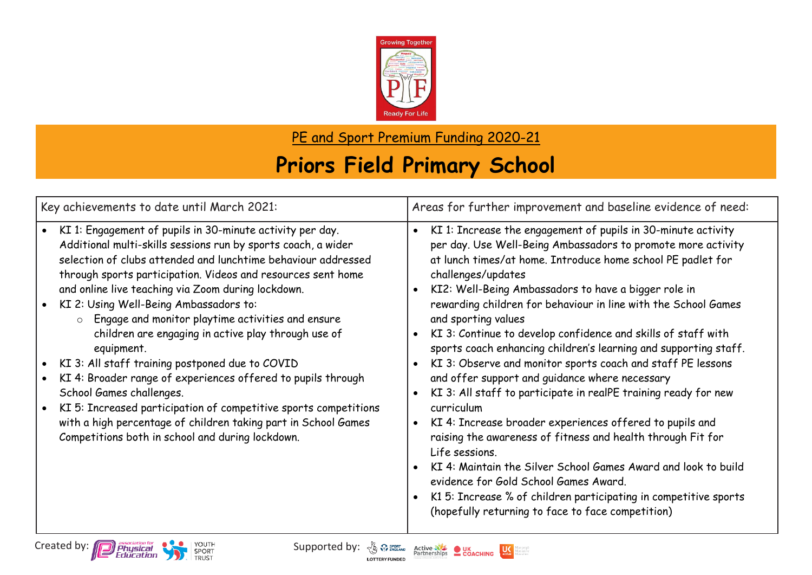

PE and Sport Premium Funding 2020-21

## **Priors Field Primary School**

| KI 1: Engagement of pupils in 30-minute activity per day.<br>$\bullet$<br>$\bullet$<br>Additional multi-skills sessions run by sports coach, a wider<br>selection of clubs attended and lunchtime behaviour addressed<br>at lunch times/at home. Introduce home school PE padlet for                                                                                                                                                                                                                                                                                                                                                                                                                                                                                                                                                                                                                                                                                                                     | KI 1: Increase the engagement of pupils in 30-minute activity<br>per day. Use Well-Being Ambassadors to promote more activity                                                                                                                                                                                                                                                                                                                                                                                                              |
|----------------------------------------------------------------------------------------------------------------------------------------------------------------------------------------------------------------------------------------------------------------------------------------------------------------------------------------------------------------------------------------------------------------------------------------------------------------------------------------------------------------------------------------------------------------------------------------------------------------------------------------------------------------------------------------------------------------------------------------------------------------------------------------------------------------------------------------------------------------------------------------------------------------------------------------------------------------------------------------------------------|--------------------------------------------------------------------------------------------------------------------------------------------------------------------------------------------------------------------------------------------------------------------------------------------------------------------------------------------------------------------------------------------------------------------------------------------------------------------------------------------------------------------------------------------|
| through sports participation. Videos and resources sent home<br>challenges/updates<br>and online live teaching via Zoom during lockdown.<br>KI2: Well-Being Ambassadors to have a bigger role in<br>KI 2: Using Well-Being Ambassadors to:<br>Engage and monitor playtime activities and ensure<br>and sporting values<br>$\circ$<br>children are engaging in active play through use of<br>equipment.<br>KI 3: All staff training postponed due to COVID<br>KI 4: Broader range of experiences offered to pupils through<br>and offer support and guidance where necessary<br>School Games challenges.<br>KI 5: Increased participation of competitive sports competitions<br>curriculum<br>with a high percentage of children taking part in School Games<br>KI 4: Increase broader experiences offered to pupils and<br>$\bullet$<br>Competitions both in school and during lockdown.<br>Life sessions.<br>evidence for Gold School Games Award.<br>(hopefully returning to face to face competition) | rewarding children for behaviour in line with the School Games<br>KI 3: Continue to develop confidence and skills of staff with<br>sports coach enhancing children's learning and supporting staff.<br>KI 3: Observe and monitor sports coach and staff PE lessons<br>KI 3: All staff to participate in realPE training ready for new<br>raising the awareness of fitness and health through Fit for<br>KI 4: Maintain the Silver School Games Award and look to build<br>K1 5: Increase % of children participating in competitive sports |

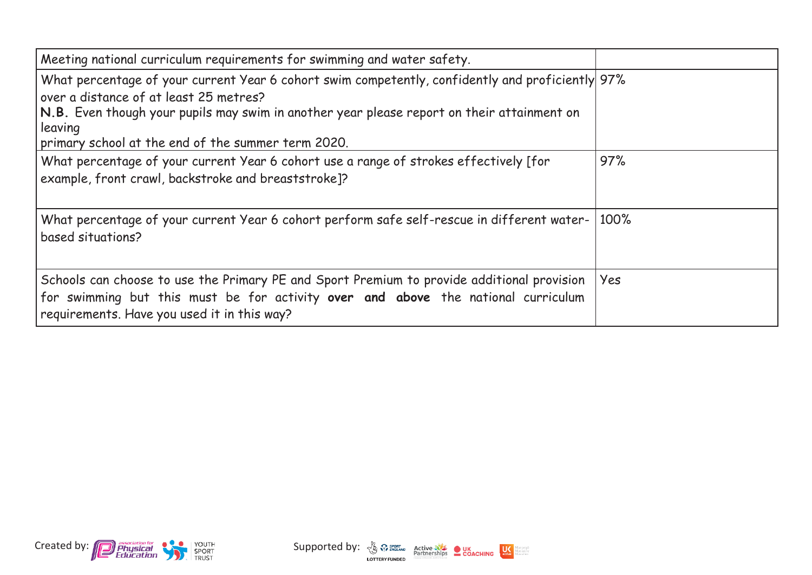| Meeting national curriculum requirements for swimming and water safety.                                                                                                                                                                                                                                   |      |
|-----------------------------------------------------------------------------------------------------------------------------------------------------------------------------------------------------------------------------------------------------------------------------------------------------------|------|
| What percentage of your current Year 6 cohort swim competently, confidently and proficiently 97%<br>over a distance of at least 25 metres?<br>N.B. Even though your pupils may swim in another year please report on their attainment on<br>leaving<br>primary school at the end of the summer term 2020. |      |
| What percentage of your current Year 6 cohort use a range of strokes effectively [for<br>example, front crawl, backstroke and breaststroke]?                                                                                                                                                              | 97%  |
| What percentage of your current Year 6 cohort perform safe self-rescue in different water-<br>based situations?                                                                                                                                                                                           | 100% |
| Schools can choose to use the Primary PE and Sport Premium to provide additional provision<br>for swimming but this must be for activity over and above the national curriculum<br>requirements. Have you used it in this way?                                                                            | Yes  |



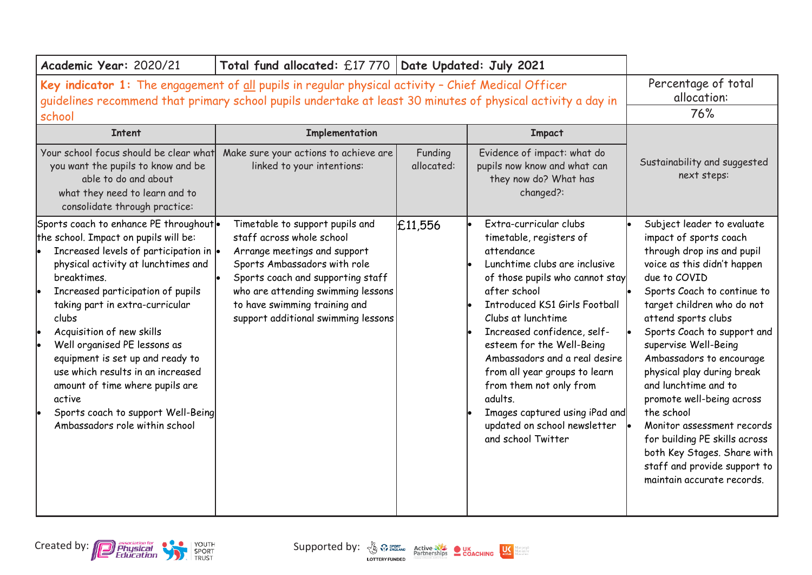| Academic Year: 2020/21                                                                                                                                                                                                                                                                                                                                                                                                                                                                                                       | Total fund allocated: £17 770   Date Updated: July 2021                                                                                                                                                                                                                         |                       |                                                                                                                                                                                                                                                                                                                                                                                                                                                                               |                                                                                                                                                                                                                                                                                                                                                                                                                                                                                                                                                                       |
|------------------------------------------------------------------------------------------------------------------------------------------------------------------------------------------------------------------------------------------------------------------------------------------------------------------------------------------------------------------------------------------------------------------------------------------------------------------------------------------------------------------------------|---------------------------------------------------------------------------------------------------------------------------------------------------------------------------------------------------------------------------------------------------------------------------------|-----------------------|-------------------------------------------------------------------------------------------------------------------------------------------------------------------------------------------------------------------------------------------------------------------------------------------------------------------------------------------------------------------------------------------------------------------------------------------------------------------------------|-----------------------------------------------------------------------------------------------------------------------------------------------------------------------------------------------------------------------------------------------------------------------------------------------------------------------------------------------------------------------------------------------------------------------------------------------------------------------------------------------------------------------------------------------------------------------|
| Key indicator 1: The engagement of all pupils in regular physical activity - Chief Medical Officer<br>guidelines recommend that primary school pupils undertake at least 30 minutes of physical activity a day in<br>school                                                                                                                                                                                                                                                                                                  | Percentage of total<br>allocation:<br>76%                                                                                                                                                                                                                                       |                       |                                                                                                                                                                                                                                                                                                                                                                                                                                                                               |                                                                                                                                                                                                                                                                                                                                                                                                                                                                                                                                                                       |
| <b>Intent</b>                                                                                                                                                                                                                                                                                                                                                                                                                                                                                                                | Implementation                                                                                                                                                                                                                                                                  |                       | <b>Impact</b>                                                                                                                                                                                                                                                                                                                                                                                                                                                                 |                                                                                                                                                                                                                                                                                                                                                                                                                                                                                                                                                                       |
| Your school focus should be clear what<br>you want the pupils to know and be<br>able to do and about<br>what they need to learn and to<br>consolidate through practice:                                                                                                                                                                                                                                                                                                                                                      | Make sure your actions to achieve are<br>linked to your intentions:                                                                                                                                                                                                             | Funding<br>allocated: | Evidence of impact: what do<br>pupils now know and what can<br>they now do? What has<br>changed?:                                                                                                                                                                                                                                                                                                                                                                             | Sustainability and suggested<br>next steps:                                                                                                                                                                                                                                                                                                                                                                                                                                                                                                                           |
| Sports coach to enhance PE throughout.<br>the school. Impact on pupils will be:<br>Increased levels of participation in  .<br>physical activity at lunchtimes and<br>breaktimes.<br>Increased participation of pupils<br>taking part in extra-curricular<br>clubs<br>Acquisition of new skills<br>Well organised PE lessons as<br>equipment is set up and ready to<br>use which results in an increased<br>amount of time where pupils are<br>active<br>Sports coach to support Well-Being<br>Ambassadors role within school | Timetable to support pupils and<br>staff across whole school<br>Arrange meetings and support<br>Sports Ambassadors with role<br>Sports coach and supporting staff<br>who are attending swimming lessons<br>to have swimming training and<br>support additional swimming lessons | £11,556               | Extra-curricular clubs<br>timetable, registers of<br>attendance<br>Lunchtime clubs are inclusive<br>of those pupils who cannot stay<br>after school<br><b>Introduced KS1 Girls Football</b><br>Clubs at lunchtime<br>Increased confidence, self-<br>esteem for the Well-Being<br>Ambassadors and a real desire<br>from all year groups to learn<br>from them not only from<br>adults.<br>Images captured using iPad and<br>updated on school newsletter<br>and school Twitter | Subject leader to evaluate<br>impact of sports coach<br>through drop ins and pupil<br>voice as this didn't happen<br>due to COVID<br>Sports Coach to continue to<br>target children who do not<br>attend sports clubs<br>Sports Coach to support and<br>supervise Well-Being<br>Ambassadors to encourage<br>physical play during break<br>and lunchtime and to<br>promote well-being across<br>the school<br>Monitor assessment records<br>for building PE skills across<br>both Key Stages. Share with<br>staff and provide support to<br>maintain accurate records. |



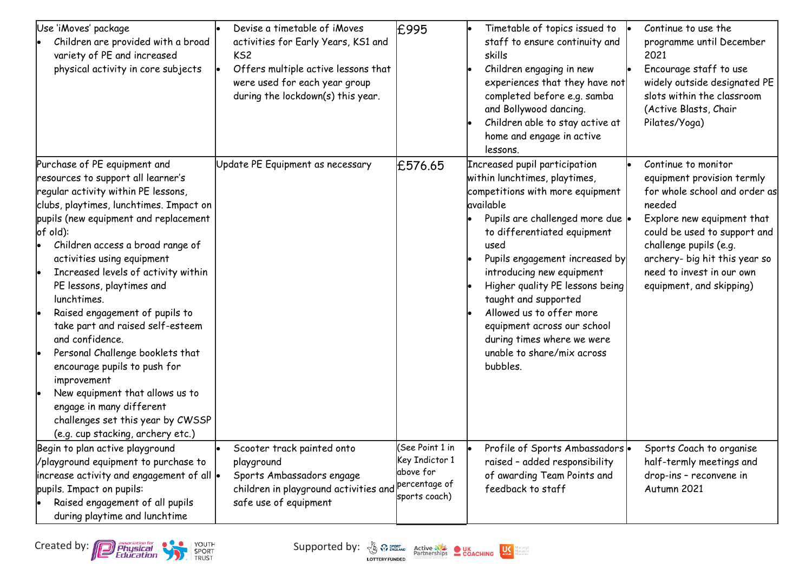| Use 'iMoves' package<br>Children are provided with a broad<br>variety of PE and increased<br>physical activity in core subjects                                                                                                                                                                                                                                                                                                                                                                                                                                                                                                                                                       | Devise a timetable of iMoves<br>activities for Early Years, KS1 and<br>KS <sub>2</sub><br>Offers multiple active lessons that<br>were used for each year group<br>during the lockdown(s) this year. | £995                                                                             | Timetable of topics issued to<br>staff to ensure continuity and<br>skills<br>Children engaging in new<br>experiences that they have not<br>completed before e.g. samba<br>and Bollywood dancing.<br>Children able to stay active at<br>home and engage in active<br>lessons.                                                                                                                                                                             | Continue to use the<br>programme until December<br>2021<br>Encourage staff to use<br>widely outside designated PE<br>slots within the classroom<br>(Active Blasts, Chair<br>Pilates/Yoga)                                                                                      |
|---------------------------------------------------------------------------------------------------------------------------------------------------------------------------------------------------------------------------------------------------------------------------------------------------------------------------------------------------------------------------------------------------------------------------------------------------------------------------------------------------------------------------------------------------------------------------------------------------------------------------------------------------------------------------------------|-----------------------------------------------------------------------------------------------------------------------------------------------------------------------------------------------------|----------------------------------------------------------------------------------|----------------------------------------------------------------------------------------------------------------------------------------------------------------------------------------------------------------------------------------------------------------------------------------------------------------------------------------------------------------------------------------------------------------------------------------------------------|--------------------------------------------------------------------------------------------------------------------------------------------------------------------------------------------------------------------------------------------------------------------------------|
| Purchase of PE equipment and<br>resources to support all learner's<br>regular activity within PE lessons,<br>clubs, playtimes, lunchtimes. Impact on<br>pupils (new equipment and replacement<br>$of$ old):<br>Children access a broad range of<br>activities using equipment<br>Increased levels of activity within<br>PE lessons, playtimes and<br>lunchtimes.<br>Raised engagement of pupils to<br>take part and raised self-esteem<br>and confidence.<br>Personal Challenge booklets that<br>encourage pupils to push for<br>improvement<br>New equipment that allows us to<br>engage in many different<br>challenges set this year by CWSSP<br>(e.g. cup stacking, archery etc.) | Update PE Equipment as necessary                                                                                                                                                                    | £576.65                                                                          | Increased pupil participation<br>within lunchtimes, playtimes,<br>competitions with more equipment<br>available<br>Pupils are challenged more due  .<br>to differentiated equipment<br>used<br>Pupils engagement increased by<br>introducing new equipment<br>Higher quality PE lessons being<br>taught and supported<br>Allowed us to offer more<br>equipment across our school<br>during times where we were<br>unable to share/mix across<br>bubbles. | Continue to monitor<br>equipment provision termly<br>for whole school and order as<br>needed<br>Explore new equipment that<br>could be used to support and<br>challenge pupils (e.g.<br>archery- big hit this year so<br>need to invest in our own<br>equipment, and skipping) |
| Begin to plan active playground<br>/playground equipment to purchase to<br>increase activity and engagement of all  .<br>pupils. Impact on pupils:<br>Raised engagement of all pupils<br>during playtime and lunchtime                                                                                                                                                                                                                                                                                                                                                                                                                                                                | Scooter track painted onto<br>playground<br>Sports Ambassadors engage<br>children in playground activities and<br>safe use of equipment                                                             | (See Point 1 in<br>Key Indictor 1<br>above for<br>percentage of<br>sports coach) | Profile of Sports Ambassadors .<br>raised - added responsibility<br>of awarding Team Points and<br>feedback to staff                                                                                                                                                                                                                                                                                                                                     | Sports Coach to organise<br>half-termly meetings and<br>drop-ins - reconvene in<br>Autumn 2021                                                                                                                                                                                 |

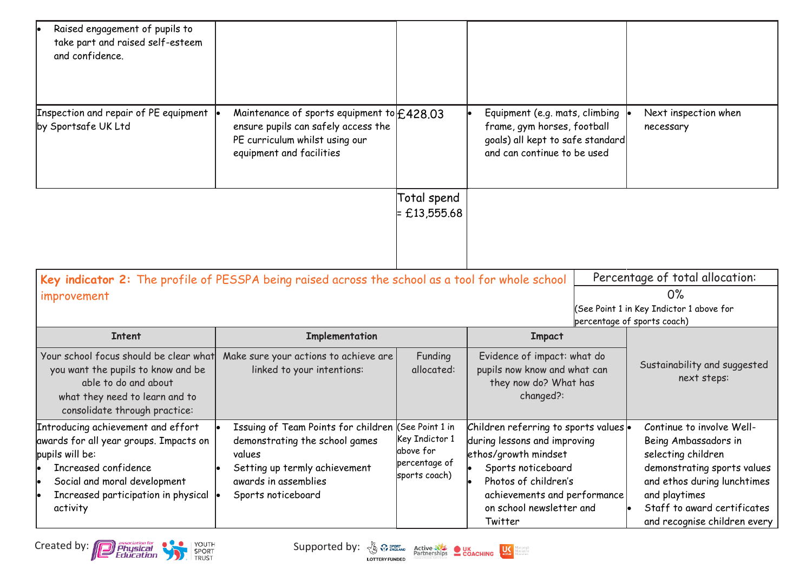| Raised engagement of pupils to<br>take part and raised self-esteem<br>and confidence.<br>Inspection and repair of PE equipment                                                                             | Maintenance of sports equipment to $f$ 428.03                                                                                                                                  |                                                               | Equipment (e.g. mats, climbing                                                                                                                                                                          | Next inspection when                                                                                                                                                                                                  |
|------------------------------------------------------------------------------------------------------------------------------------------------------------------------------------------------------------|--------------------------------------------------------------------------------------------------------------------------------------------------------------------------------|---------------------------------------------------------------|---------------------------------------------------------------------------------------------------------------------------------------------------------------------------------------------------------|-----------------------------------------------------------------------------------------------------------------------------------------------------------------------------------------------------------------------|
| by Sportsafe UK Ltd                                                                                                                                                                                        | ensure pupils can safely access the<br>PE curriculum whilst using our<br>equipment and facilities                                                                              |                                                               | frame, gym horses, football<br>goals) all kept to safe standard<br>and can continue to be used                                                                                                          | necessary                                                                                                                                                                                                             |
|                                                                                                                                                                                                            |                                                                                                                                                                                | Total spend<br>$= £13,555.68$                                 |                                                                                                                                                                                                         |                                                                                                                                                                                                                       |
|                                                                                                                                                                                                            | Key indicator 2: The profile of PESSPA being raised across the school as a tool for whole school                                                                               |                                                               |                                                                                                                                                                                                         | Percentage of total allocation:                                                                                                                                                                                       |
| improvement                                                                                                                                                                                                |                                                                                                                                                                                |                                                               |                                                                                                                                                                                                         | 0%<br>See Point 1 in Key Indictor 1 above for<br>percentage of sports coach)                                                                                                                                          |
| <b>Intent</b>                                                                                                                                                                                              | Implementation                                                                                                                                                                 |                                                               | <b>Impact</b>                                                                                                                                                                                           |                                                                                                                                                                                                                       |
| Your school focus should be clear what<br>you want the pupils to know and be<br>able to do and about<br>what they need to learn and to<br>consolidate through practice:                                    | Make sure your actions to achieve are<br>linked to your intentions:                                                                                                            | Funding<br>allocated:                                         | Evidence of impact: what do<br>pupils now know and what can<br>they now do? What has<br>changed?:                                                                                                       | Sustainability and suggested<br>next steps:                                                                                                                                                                           |
| Introducing achievement and effort<br>awards for all year groups. Impacts on<br>pupils will be:<br>Increased confidence<br>Social and moral development<br>Increased participation in physical<br>activity | Issuing of Team Points for children (See Point 1 in<br>demonstrating the school games<br>values<br>Setting up termly achievement<br>awards in assemblies<br>Sports noticeboard | Key Indictor 1<br>above for<br>percentage of<br>sports coach) | Children referring to sports values .<br>during lessons and improving<br>ethos/growth mindset<br>Sports noticeboard<br>Photos of children's<br>achievements and performance<br>on school newsletter and | Continue to involve Well-<br>Being Ambassadors in<br>selecting children<br>demonstrating sports values<br>and ethos during lunchtimes<br>and playtimes<br>Staff to award certificates<br>and recognise children every |

Created by: **Consumer Consumer Consumer Supported by:**  $\frac{N}{2}$   $\frac{N}{2}$   $\frac{P_{\text{outflow}}}{P_{\text{outflow}}}$  **COACHING**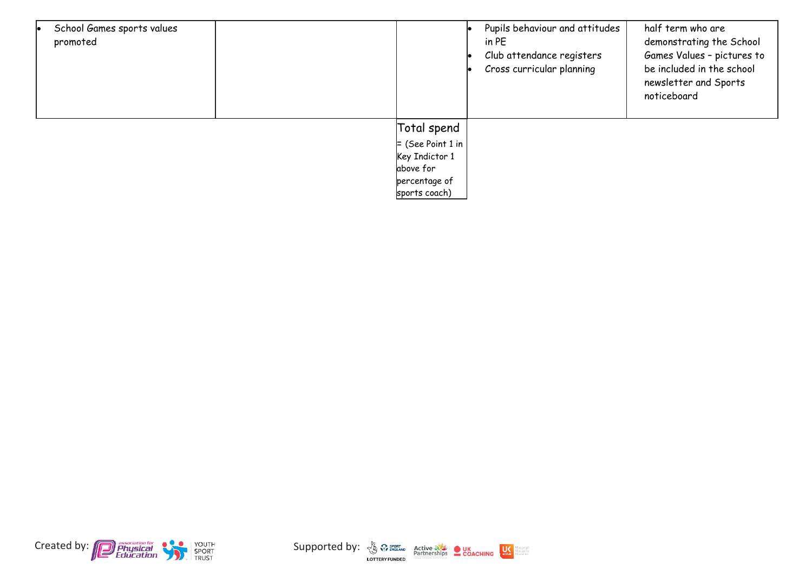| School Games sports values<br>promoted |                     | Pupils behaviour and attitudes<br>in PE<br>Club attendance registers<br>Cross curricular planning | half term who are<br>demonstrating the School<br>Games Values - pictures to<br>be included in the school<br>newsletter and Sports<br>noticeboard |
|----------------------------------------|---------------------|---------------------------------------------------------------------------------------------------|--------------------------------------------------------------------------------------------------------------------------------------------------|
|                                        | Total spend         |                                                                                                   |                                                                                                                                                  |
|                                        | $=$ (See Point 1 in |                                                                                                   |                                                                                                                                                  |
|                                        | Key Indictor 1      |                                                                                                   |                                                                                                                                                  |
|                                        | above for           |                                                                                                   |                                                                                                                                                  |
|                                        | percentage of       |                                                                                                   |                                                                                                                                                  |
|                                        | sports coach)       |                                                                                                   |                                                                                                                                                  |



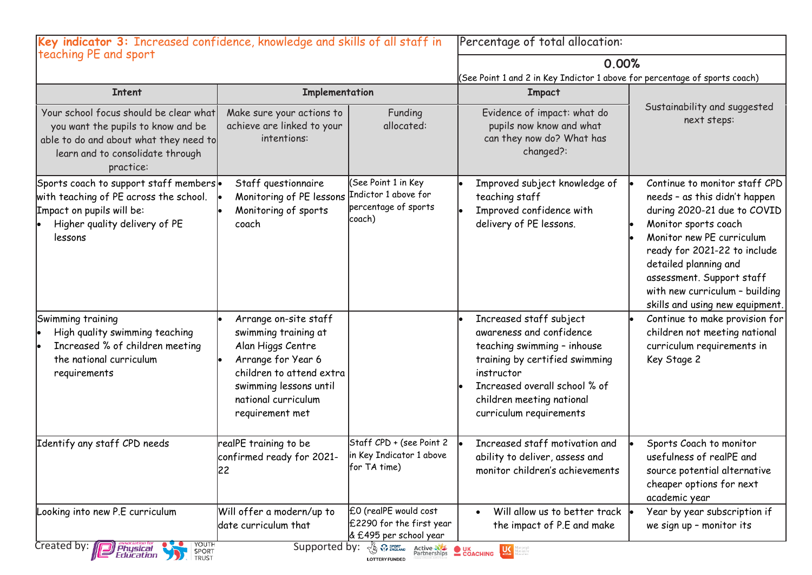| Key indicator 3: Increased confidence, knowledge and skills of all staff in                                                                                             |                                                                                                                                                                                          | Percentage of total allocation:                                                  |                                                                                                                                                                                                                             |                                                                                                                                                                                                                                                                                                               |
|-------------------------------------------------------------------------------------------------------------------------------------------------------------------------|------------------------------------------------------------------------------------------------------------------------------------------------------------------------------------------|----------------------------------------------------------------------------------|-----------------------------------------------------------------------------------------------------------------------------------------------------------------------------------------------------------------------------|---------------------------------------------------------------------------------------------------------------------------------------------------------------------------------------------------------------------------------------------------------------------------------------------------------------|
| teaching PE and sport                                                                                                                                                   |                                                                                                                                                                                          |                                                                                  | 0.00%                                                                                                                                                                                                                       |                                                                                                                                                                                                                                                                                                               |
|                                                                                                                                                                         |                                                                                                                                                                                          |                                                                                  | (See Point 1 and 2 in Key Indictor 1 above for percentage of sports coach)                                                                                                                                                  |                                                                                                                                                                                                                                                                                                               |
| <b>Intent</b>                                                                                                                                                           | Implementation                                                                                                                                                                           |                                                                                  | <b>Impact</b>                                                                                                                                                                                                               |                                                                                                                                                                                                                                                                                                               |
| Your school focus should be clear what<br>you want the pupils to know and be<br>able to do and about what they need to<br>learn and to consolidate through<br>practice: | Make sure your actions to<br>achieve are linked to your<br>intentions:                                                                                                                   | Funding<br>allocated:                                                            | Evidence of impact: what do<br>pupils now know and what<br>can they now do? What has<br>changed?:                                                                                                                           | Sustainability and suggested<br>next steps:                                                                                                                                                                                                                                                                   |
| Sports coach to support staff members .<br>with teaching of PE across the school.<br>Impact on pupils will be:<br>Higher quality delivery of PE<br>lessons              | Staff questionnaire<br>Monitoring of PE lessons<br>Monitoring of sports<br>coach                                                                                                         | (See Point 1 in Key<br>Indictor 1 above for<br>percentage of sports<br>coach)    | Improved subject knowledge of<br>teaching staff<br>Improved confidence with<br>delivery of PE lessons.                                                                                                                      | Continue to monitor staff CPD<br>needs - as this didn't happen<br>during 2020-21 due to COVID<br>Monitor sports coach<br>Monitor new PE curriculum<br>ready for 2021-22 to include<br>detailed planning and<br>assessment. Support staff<br>with new curriculum - building<br>skills and using new equipment. |
| Swimming training<br>High quality swimming teaching<br>Increased % of children meeting<br>the national curriculum<br>requirements                                       | Arrange on-site staff<br>swimming training at<br>Alan Higgs Centre<br>Arrange for Year 6<br>children to attend extra<br>swimming lessons until<br>national curriculum<br>requirement met |                                                                                  | Increased staff subject<br>awareness and confidence<br>teaching swimming - inhouse<br>training by certified swimming<br>instructor<br>Increased overall school % of<br>children meeting national<br>curriculum requirements | Continue to make provision for<br>children not meeting national<br>curriculum requirements in<br>Key Stage 2                                                                                                                                                                                                  |
| Identify any staff CPD needs                                                                                                                                            | realPE training to be<br>confirmed ready for 2021-<br>22                                                                                                                                 | Staff CPD + (see Point 2<br>in Key Indicator 1 above<br>for TA time)             | Increased staff motivation and<br>ability to deliver, assess and<br>monitor children's achievements                                                                                                                         | Sports Coach to monitor<br>usefulness of realPE and<br>source potential alternative<br>cheaper options for next<br>academic year                                                                                                                                                                              |
| Looking into new P.E curriculum                                                                                                                                         | Will offer a modern/up to<br>date curriculum that                                                                                                                                        | £0 (realPE would cost<br>£2290 for the first year<br>& £495 per school year      | Will allow us to better track<br>the impact of P.E and make                                                                                                                                                                 | Year by year subscription if<br>we sign up - monitor its                                                                                                                                                                                                                                                      |
| YOUTH<br>Created by:<br><b>Physical</b><br>Education<br>SPORT<br>TRUST                                                                                                  | Supported by:                                                                                                                                                                            | <b>An Sport Active AVE OUK</b><br>Partnerships COACHING<br><b>LOTTERY FUNDED</b> | $\frac{1}{\text{active}}$<br>dare activo<br>dare often                                                                                                                                                                      |                                                                                                                                                                                                                                                                                                               |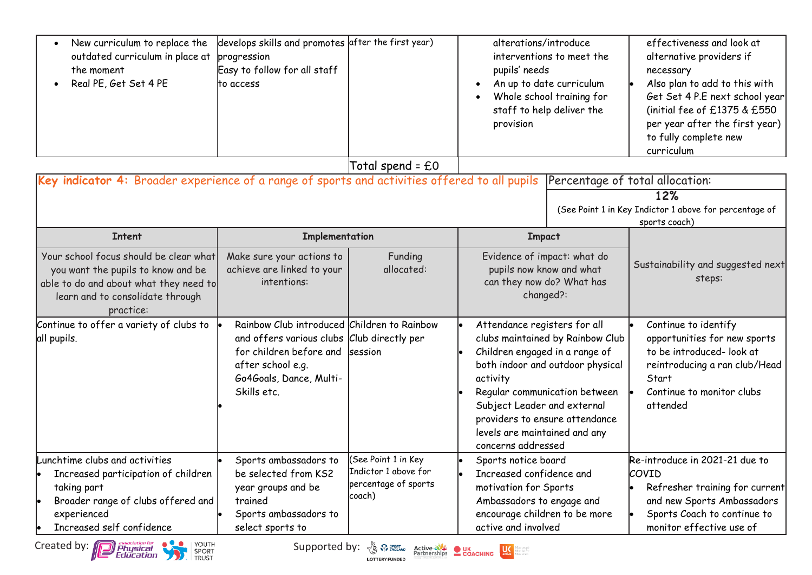| New curriculum to replace the<br>outdated curriculum in place at<br>the moment<br>Real PE, Get Set 4 PE                                                                                                          | develops skills and promotes after the first year)<br>progression<br>Easy to follow for all staff<br>to access                                                                      |                                                                                                                                                                                                                                                                 | alterations/introduce<br>pupils' needs<br>provision                                                                                                              | interventions to meet the<br>An up to date curriculum<br>Whole school training for<br>staff to help deliver the                         | effectiveness and look at<br>alternative providers if<br>necessary<br>Also plan to add to this with<br>Get Set 4 P.E next school year<br>(initial fee of $£1375$ & $£550$<br>per year after the first year)<br>to fully complete new<br>curriculum |
|------------------------------------------------------------------------------------------------------------------------------------------------------------------------------------------------------------------|-------------------------------------------------------------------------------------------------------------------------------------------------------------------------------------|-----------------------------------------------------------------------------------------------------------------------------------------------------------------------------------------------------------------------------------------------------------------|------------------------------------------------------------------------------------------------------------------------------------------------------------------|-----------------------------------------------------------------------------------------------------------------------------------------|----------------------------------------------------------------------------------------------------------------------------------------------------------------------------------------------------------------------------------------------------|
|                                                                                                                                                                                                                  |                                                                                                                                                                                     | Total spend = £0                                                                                                                                                                                                                                                |                                                                                                                                                                  |                                                                                                                                         |                                                                                                                                                                                                                                                    |
| Key indicator 4: Broader experience of a range of sports and activities offered to all pupils Percentage of total allocation:                                                                                    |                                                                                                                                                                                     |                                                                                                                                                                                                                                                                 |                                                                                                                                                                  |                                                                                                                                         |                                                                                                                                                                                                                                                    |
|                                                                                                                                                                                                                  |                                                                                                                                                                                     |                                                                                                                                                                                                                                                                 |                                                                                                                                                                  |                                                                                                                                         | 12%<br>(See Point 1 in Key Indictor 1 above for percentage of<br>sports coach)                                                                                                                                                                     |
| <b>Intent</b>                                                                                                                                                                                                    | Implementation                                                                                                                                                                      |                                                                                                                                                                                                                                                                 | <b>Impact</b>                                                                                                                                                    |                                                                                                                                         |                                                                                                                                                                                                                                                    |
| Your school focus should be clear what<br>you want the pupils to know and be<br>able to do and about what they need to<br>learn and to consolidate through<br>practice:                                          | Make sure your actions to<br>achieve are linked to your<br>intentions:                                                                                                              | Funding<br>allocated:                                                                                                                                                                                                                                           | Evidence of impact: what do<br>pupils now know and what<br>can they now do? What has<br>changed?:                                                                |                                                                                                                                         | Sustainability and suggested next<br>steps:                                                                                                                                                                                                        |
| Continue to offer a variety of clubs to<br>all pupils.                                                                                                                                                           | Rainbow Club introduced Children to Rainbow<br>and offers various clubs Club directly per<br>for children before and<br>after school e.g.<br>Go4Goals, Dance, Multi-<br>Skills etc. | session                                                                                                                                                                                                                                                         | Attendance registers for all<br>Children engaged in a range of<br>activity<br>Subject Leader and external<br>levels are maintained and any<br>concerns addressed | clubs maintained by Rainbow Club<br>both indoor and outdoor physical<br>Regular communication between<br>providers to ensure attendance | Continue to identify<br>opportunities for new sports<br>to be introduced- look at<br>reintroducing a ran club/Head<br>Start<br>Continue to monitor clubs<br>attended                                                                               |
| Lunchtime clubs and activities<br>Increased participation of children<br>taking part<br>Broader range of clubs offered and<br>experienced<br>Increased self confidence<br>YOUTH<br>Created by: <b>Department</b> | Sports ambassadors to<br>be selected from KS2<br>year groups and be<br>trained<br>Sports ambassadors to<br>select sports to                                                         | (See Point 1 in Key<br>Indictor 1 above for<br>percentage of sports<br>coach)<br>Supported by: $\frac{1}{\sqrt{2}}$ $\frac{1}{\sqrt{2}}$ $\frac{1}{\sqrt{2}}$ $\frac{1}{\sqrt{2}}$ $\frac{1}{\sqrt{2}}$<br><b>Active NE OUK</b><br>Partnerships <b>COACHING</b> | Sports notice board<br>Increased confidence and<br>motivation for Sports<br>Ambassadors to engage and<br>encourage children to be more<br>active and involved    |                                                                                                                                         | Re-introduce in 2021-21 due to<br>COVID<br>Refresher training for current<br>and new Sports Ambassadors<br>Sports Coach to continue to<br>monitor effective use of                                                                                 |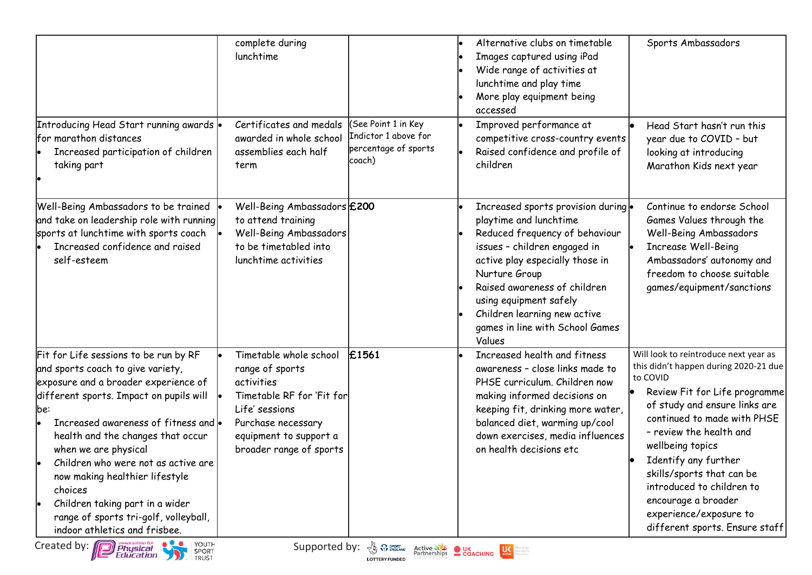|                                                                                                                                                                                                                                                                                                                                                                                                                                                                                                                                  | complete during<br>lunchtime<br>Certificates and medals                                                                                                                           | See Point 1 in Key                                     | Alternative clubs on timetable<br>Images captured using iPad<br>Wide range of activities at<br>lunchtime and play time<br>More play equipment being<br>accessed                                                                                                                                                            | Sports Ambassadors                                                                                                                                                                                                                                                                                                                                                                                              |
|----------------------------------------------------------------------------------------------------------------------------------------------------------------------------------------------------------------------------------------------------------------------------------------------------------------------------------------------------------------------------------------------------------------------------------------------------------------------------------------------------------------------------------|-----------------------------------------------------------------------------------------------------------------------------------------------------------------------------------|--------------------------------------------------------|----------------------------------------------------------------------------------------------------------------------------------------------------------------------------------------------------------------------------------------------------------------------------------------------------------------------------|-----------------------------------------------------------------------------------------------------------------------------------------------------------------------------------------------------------------------------------------------------------------------------------------------------------------------------------------------------------------------------------------------------------------|
| Introducing Head Start running awards .<br>for marathon distances<br>Increased participation of children<br>taking part                                                                                                                                                                                                                                                                                                                                                                                                          | awarded in whole school<br>assemblies each half<br>term                                                                                                                           | Indictor 1 above for<br>percentage of sports<br>coach) | Improved performance at<br>competitive cross-country events<br>Raised confidence and profile of<br>children                                                                                                                                                                                                                | Head Start hasn't run this<br>year due to COVID - but<br>looking at introducing<br>Marathon Kids next year                                                                                                                                                                                                                                                                                                      |
| Well-Being Ambassadors to be trained<br>and take on leadership role with running<br>sports at lunchtime with sports coach<br>Increased confidence and raised<br>self-esteem                                                                                                                                                                                                                                                                                                                                                      | Well-Being Ambassadors £200<br>to attend training<br>Well-Being Ambassadors<br>to be timetabled into<br>lunchtime activities                                                      |                                                        | Increased sports provision during .<br>playtime and lunchtime<br>Reduced frequency of behaviour<br>issues - children engaged in<br>active play especially those in<br>Nurture Group<br>Raised awareness of children<br>using equipment safely<br>Children learning new active<br>games in line with School Games<br>Values | Continue to endorse School<br>Games Values through the<br>Well-Being Ambassadors<br><b>Increase Well-Being</b><br>Ambassadors' autonomy and<br>freedom to choose suitable<br>games/equipment/sanctions                                                                                                                                                                                                          |
| Fit for Life sessions to be run by RF<br>and sports coach to give variety,<br>exposure and a broader experience of<br>different sports. Impact on pupils will<br>lbe:<br>Increased awareness of fitness and $\bullet$<br>health and the changes that occur<br>when we are physical<br>Children who were not as active are<br>now making healthier lifestyle<br>choices<br>Children taking part in a wider<br>range of sports tri-golf, volleyball,<br>indoor athletics and frisbee.<br>Created by: <b>[12] Physical</b><br>YOUTH | Timetable whole school<br>range of sports<br>activities<br>Timetable RF for 'Fit for<br>Life' sessions<br>Purchase necessary<br>equipment to support a<br>broader range of sports | £1561<br>Supported by: & Premaring                     | Increased health and fitness<br>awareness - close links made to<br>PHSE curriculum. Children now<br>making informed decisions on<br>keeping fit, drinking more water,<br>balanced diet, warming up/cool<br>down exercises, media influences<br>on health decisions etc                                                     | Will look to reintroduce next year as<br>this didn't happen during 2020-21 due<br>to COVID<br>Review Fit for Life programme<br>of study and ensure links are<br>continued to made with PHSE<br>- review the health and<br>wellbeing topics<br>Identify any further<br>skills/sports that can be<br>introduced to children to<br>encourage a broader<br>experience/exposure to<br>different sports. Ensure staff |

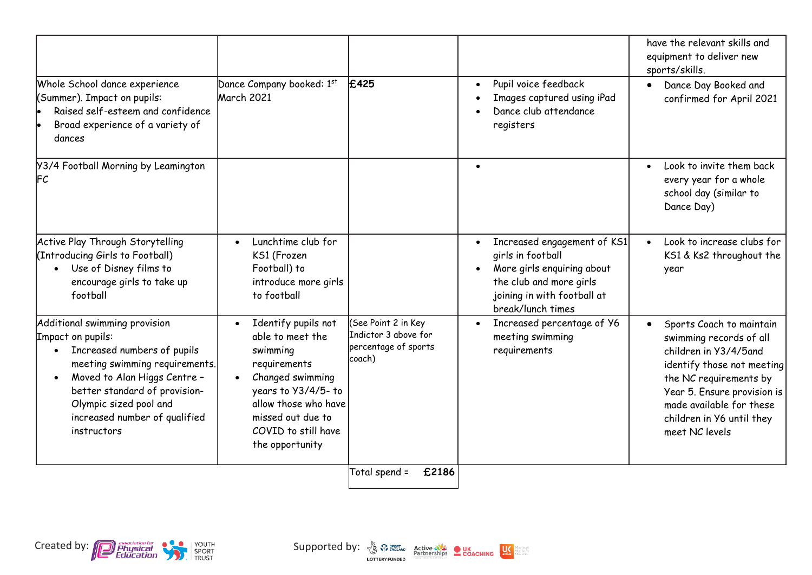|                                                                                                                                                                                                                                                                             |                                                                                                                                                                                                                   |                                                                               |                                                                                                                                                               | have the relevant skills and<br>equipment to deliver new<br>sports/skills.                                                                                                                                                                     |
|-----------------------------------------------------------------------------------------------------------------------------------------------------------------------------------------------------------------------------------------------------------------------------|-------------------------------------------------------------------------------------------------------------------------------------------------------------------------------------------------------------------|-------------------------------------------------------------------------------|---------------------------------------------------------------------------------------------------------------------------------------------------------------|------------------------------------------------------------------------------------------------------------------------------------------------------------------------------------------------------------------------------------------------|
| Whole School dance experience<br>(Summer). Impact on pupils:<br>Raised self-esteem and confidence<br>Broad experience of a variety of<br>dances                                                                                                                             | Dance Company booked: 1st<br>March 2021                                                                                                                                                                           | £425                                                                          | Pupil voice feedback<br>Images captured using iPad<br>Dance club attendance<br>registers                                                                      | Dance Day Booked and<br>$\bullet$<br>confirmed for April 2021                                                                                                                                                                                  |
| Y3/4 Football Morning by Leamington<br><b>FC</b>                                                                                                                                                                                                                            |                                                                                                                                                                                                                   |                                                                               | $\bullet$                                                                                                                                                     | Look to invite them back<br>$\bullet$<br>every year for a whole<br>school day (similar to<br>Dance Day)                                                                                                                                        |
| Active Play Through Storytelling<br>(Introducing Girls to Football)<br>Use of Disney films to<br>$\bullet$<br>encourage girls to take up<br>football                                                                                                                        | Lunchtime club for<br>KS1 (Frozen<br>Football) to<br>introduce more girls<br>to football                                                                                                                          |                                                                               | Increased engagement of KS1<br>girls in football<br>More girls enquiring about<br>the club and more girls<br>joining in with football at<br>break/lunch times | Look to increase clubs for<br>KS1 & Ks2 throughout the<br>year                                                                                                                                                                                 |
| Additional swimming provision<br>Impact on pupils:<br>Increased numbers of pupils<br>meeting swimming requirements.<br>Moved to Alan Higgs Centre -<br>$\bullet$<br>better standard of provision-<br>Olympic sized pool and<br>increased number of qualified<br>instructors | Identify pupils not<br>able to meet the<br>swimming<br>requirements<br>Changed swimming<br>$\bullet$<br>years to Y3/4/5-to<br>allow those who have<br>missed out due to<br>COVID to still have<br>the opportunity | (See Point 2 in Key<br>Indictor 3 above for<br>percentage of sports<br>coach) | Increased percentage of Y6<br>$\bullet$<br>meeting swimming<br>requirements                                                                                   | Sports Coach to maintain<br>swimming records of all<br>children in Y3/4/5and<br>identify those not meeting<br>the NC requirements by<br>Year 5. Ensure provision is<br>made available for these<br>children in Y6 until they<br>meet NC levels |
|                                                                                                                                                                                                                                                                             |                                                                                                                                                                                                                   | £2186<br>Total spend =                                                        |                                                                                                                                                               |                                                                                                                                                                                                                                                |

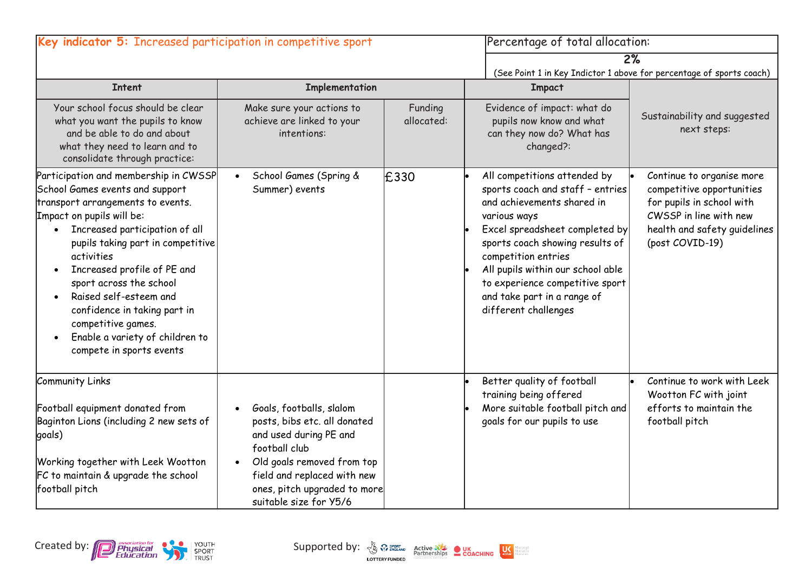| Key indicator 5: Increased participation in competitive sport                                                                                                                                                                                                                                                                                                                                                                                                                                |                                                                                                                                                                                                                            |                       | Percentage of total allocation:                                                                                                                                                                                                                                                                                                           |                                                                                                                                                                  |
|----------------------------------------------------------------------------------------------------------------------------------------------------------------------------------------------------------------------------------------------------------------------------------------------------------------------------------------------------------------------------------------------------------------------------------------------------------------------------------------------|----------------------------------------------------------------------------------------------------------------------------------------------------------------------------------------------------------------------------|-----------------------|-------------------------------------------------------------------------------------------------------------------------------------------------------------------------------------------------------------------------------------------------------------------------------------------------------------------------------------------|------------------------------------------------------------------------------------------------------------------------------------------------------------------|
|                                                                                                                                                                                                                                                                                                                                                                                                                                                                                              |                                                                                                                                                                                                                            |                       |                                                                                                                                                                                                                                                                                                                                           | 2%                                                                                                                                                               |
| <b>Intent</b>                                                                                                                                                                                                                                                                                                                                                                                                                                                                                | Implementation                                                                                                                                                                                                             |                       | <b>Impact</b>                                                                                                                                                                                                                                                                                                                             | (See Point 1 in Key Indictor 1 above for percentage of sports coach)                                                                                             |
| Your school focus should be clear<br>what you want the pupils to know<br>and be able to do and about<br>what they need to learn and to<br>consolidate through practice:                                                                                                                                                                                                                                                                                                                      | Make sure your actions to<br>achieve are linked to your<br>intentions:                                                                                                                                                     | Funding<br>allocated: | Evidence of impact: what do<br>pupils now know and what<br>can they now do? What has<br>changed?:                                                                                                                                                                                                                                         | Sustainability and suggested<br>next steps:                                                                                                                      |
| Participation and membership in CWSSP<br>School Games events and support<br>transport arrangements to events.<br>Impact on pupils will be:<br>Increased participation of all<br>$\bullet$<br>pupils taking part in competitive<br>activities<br>Increased profile of PE and<br>$\bullet$<br>sport across the school<br>Raised self-esteem and<br>$\bullet$<br>confidence in taking part in<br>competitive games.<br>Enable a variety of children to<br>$\bullet$<br>compete in sports events | School Games (Spring &<br>Summer) events                                                                                                                                                                                   | E330                  | All competitions attended by<br>sports coach and staff - entries<br>and achievements shared in<br>various ways<br>Excel spreadsheet completed by<br>sports coach showing results of<br>competition entries<br>All pupils within our school able<br>to experience competitive sport<br>and take part in a range of<br>different challenges | Continue to organise more<br>competitive opportunities<br>for pupils in school with<br>CWSSP in line with new<br>health and safety guidelines<br>(post COVID-19) |
| Community Links<br>Football equipment donated from<br>Baginton Lions (including 2 new sets of<br>goals)<br>Working together with Leek Wootton<br>FC to maintain & upgrade the school<br>football pitch                                                                                                                                                                                                                                                                                       | Goals, footballs, slalom<br>posts, bibs etc. all donated<br>and used during PE and<br>football club<br>Old goals removed from top<br>field and replaced with new<br>ones, pitch upgraded to more<br>suitable size for Y5/6 |                       | Better quality of football<br>training being offered<br>More suitable football pitch and<br>goals for our pupils to use                                                                                                                                                                                                                   | Continue to work with Leek<br>Wootton FC with joint<br>efforts to maintain the<br>football pitch                                                                 |

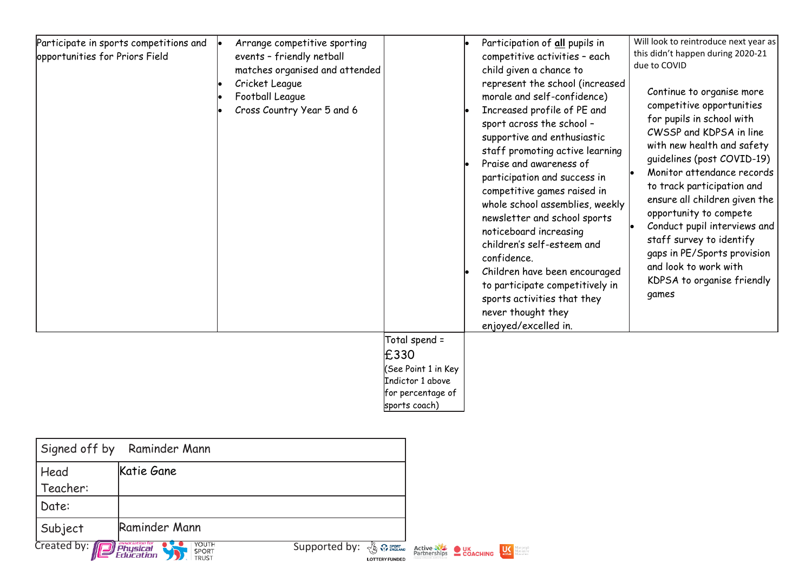| Participate in sports competitions and<br>opportunities for Priors Field | Arrange competitive sporting<br>events - friendly netball<br>matches organised and attended<br>Cricket League<br>Football League<br>Cross Country Year 5 and 6 |                                                                                                        | Participation of all pupils in<br>competitive activities - each<br>child given a chance to<br>represent the school (increased<br>morale and self-confidence)<br>Increased profile of PE and<br>sport across the school -<br>supportive and enthusiastic<br>staff promoting active learning<br>Praise and awareness of<br>participation and success in<br>competitive games raised in<br>whole school assemblies, weekly<br>newsletter and school sports<br>noticeboard increasing<br>children's self-esteem and<br>confidence.<br>Children have been encouraged<br>to participate competitively in<br>sports activities that they<br>never thought they<br>enjoyed/excelled in. | Will look to reintroduce next year as<br>this didn't happen during 2020-21<br>due to COVID<br>Continue to organise more<br>competitive opportunities<br>for pupils in school with<br>CWSSP and KDPSA in line<br>with new health and safety<br>guidelines (post COVID-19)<br>Monitor attendance records<br>to track participation and<br>ensure all children given the<br>opportunity to compete<br>Conduct pupil interviews and<br>staff survey to identify<br>gaps in PE/Sports provision<br>and look to work with<br>KDPSA to organise friendly<br>games |
|--------------------------------------------------------------------------|----------------------------------------------------------------------------------------------------------------------------------------------------------------|--------------------------------------------------------------------------------------------------------|---------------------------------------------------------------------------------------------------------------------------------------------------------------------------------------------------------------------------------------------------------------------------------------------------------------------------------------------------------------------------------------------------------------------------------------------------------------------------------------------------------------------------------------------------------------------------------------------------------------------------------------------------------------------------------|------------------------------------------------------------------------------------------------------------------------------------------------------------------------------------------------------------------------------------------------------------------------------------------------------------------------------------------------------------------------------------------------------------------------------------------------------------------------------------------------------------------------------------------------------------|
|                                                                          |                                                                                                                                                                | Total spend =<br>£330<br>(See Point 1 in Key<br>Indictor 1 above<br>for percentage of<br>sports coach) |                                                                                                                                                                                                                                                                                                                                                                                                                                                                                                                                                                                                                                                                                 |                                                                                                                                                                                                                                                                                                                                                                                                                                                                                                                                                            |

| Signed off by Raminder Mann                                                                                                                                                                                         |               |  |  |                                       |                              |
|---------------------------------------------------------------------------------------------------------------------------------------------------------------------------------------------------------------------|---------------|--|--|---------------------------------------|------------------------------|
| Head                                                                                                                                                                                                                | Katie Gane    |  |  |                                       |                              |
| Teacher:                                                                                                                                                                                                            |               |  |  |                                       |                              |
| Date:                                                                                                                                                                                                               |               |  |  |                                       |                              |
| Subject                                                                                                                                                                                                             | Raminder Mann |  |  |                                       |                              |
| Created by: <b>D</b> Physical<br><b>YOUTH<br/>SPORT<br/>TRUST</b><br>$\overline{\mathsf{Supported}}$ by: $\sqrt{\mathbb{Q}}$ $\mathbb{Q}$ $\mathbb{R}$ $\mathbb{R}^{corr}_{\text{NGLAMP}}$<br><b>LOTTERY FUNDED</b> |               |  |  | Active NE UK<br>Partnerships COACHING | <b>CONSERVANCE MERCHANDE</b> |